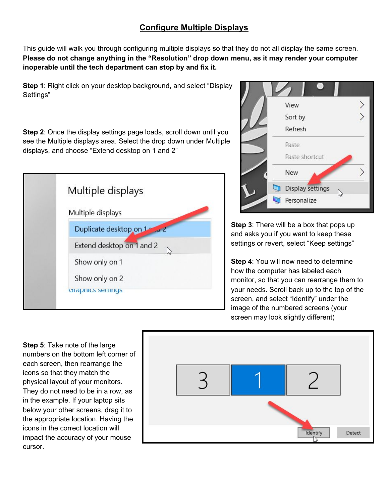## **Configure Multiple Displays**

This guide will walk you through configuring multiple displays so that they do not all display the same screen. **Please do not change anything in the "Resolution" drop down menu, as it may render your computer inoperable until the tech department can stop by and fix it.**

**Step 1**: Right click on your desktop background, and select "Display Settings"

**Step 2**: Once the display settings page loads, scroll down until you see the Multiple displays area. Select the drop down under Multiple displays, and choose "Extend desktop on 1 and 2"





**Step 3**: There will be a box that pops up and asks you if you want to keep these settings or revert, select "Keep settings"

**Step 4**: You will now need to determine how the computer has labeled each monitor, so that you can rearrange them to your needs. Scroll back up to the top of the screen, and select "Identify" under the image of the numbered screens (your screen may look slightly different)

**Step 5**: Take note of the large numbers on the bottom left corner of each screen, then rearrange the icons so that they match the physical layout of your monitors. They do not need to be in a row, as in the example. If your laptop sits below your other screens, drag it to the appropriate location. Having the icons in the correct location will impact the accuracy of your mouse cursor.